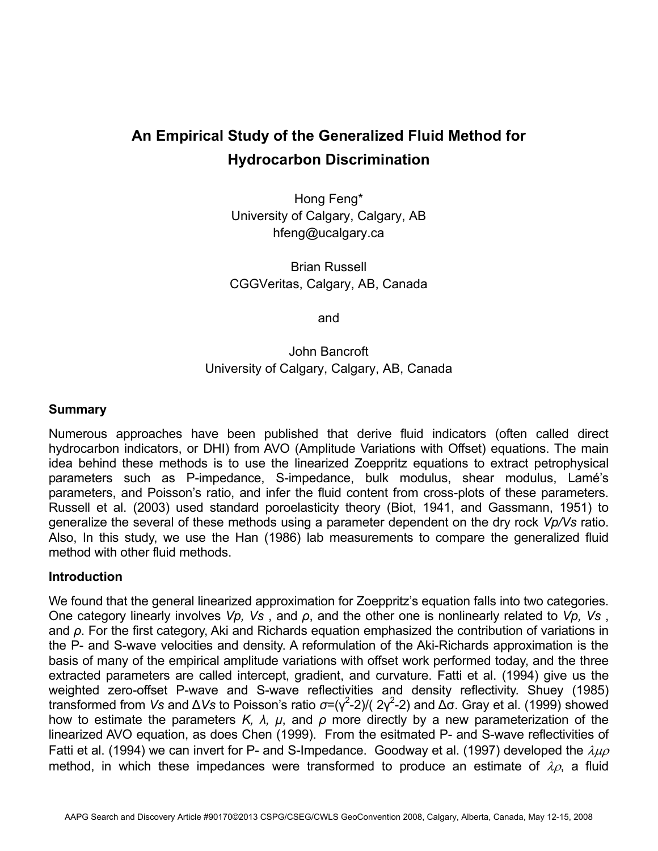# **An Empirical Study of the Generalized Fluid Method for Hydrocarbon Discrimination**

Hong Feng\* University of Calgary, Calgary, AB hfeng@ucalgary.ca

Brian Russell CGGVeritas, Calgary, AB, Canada

and

## John Bancroft University of Calgary, Calgary, AB, Canada

### **Summary**

Numerous approaches have been published that derive fluid indicators (often called direct hydrocarbon indicators, or DHI) from AVO (Amplitude Variations with Offset) equations. The main idea behind these methods is to use the linearized Zoeppritz equations to extract petrophysical parameters such as P-impedance, S-impedance, bulk modulus, shear modulus, Lamé's parameters, and Poisson's ratio, and infer the fluid content from cross-plots of these parameters. Russell et al. (2003) used standard poroelasticity theory (Biot, 1941, and Gassmann, 1951) to generalize the several of these methods using a parameter dependent on the dry rock *Vp/Vs* ratio. Also, In this study, we use the Han (1986) lab measurements to compare the generalized fluid method with other fluid methods.

## **Introduction**

We found that the general linearized approximation for Zoeppritz's equation falls into two categories. One category linearly involves *Vp, Vs* , and *ρ*, and the other one is nonlinearly related to *Vp, Vs* , and *ρ*. For the first category, Aki and Richards equation emphasized the contribution of variations in the P- and S-wave velocities and density. A reformulation of the Aki-Richards approximation is the basis of many of the empirical amplitude variations with offset work performed today, and the three extracted parameters are called intercept, gradient, and curvature. Fatti et al. (1994) give us the weighted zero-offset P-wave and S-wave reflectivities and density reflectivity. Shuey (1985) transformed from *Vs* and Δ*Vs* to Poisson's ratio  $\sigma = (\gamma^2 - 2) / (2\gamma^2 - 2)$  and Δσ. Gray et al. (1999) showed how to estimate the parameters  $K$ ,  $\lambda$ ,  $\mu$ , and  $\rho$  more directly by a new parameterization of the linearized AVO equation, as does Chen (1999). From the esitmated P- and S-wave reflectivities of Fatti et al. (1994) we can invert for P- and S-Impedance. Goodway et al. (1997) developed the  $\lambda\mu\rho$ method, in which these impedances were transformed to produce an estimate of  $\lambda \rho$ , a fluid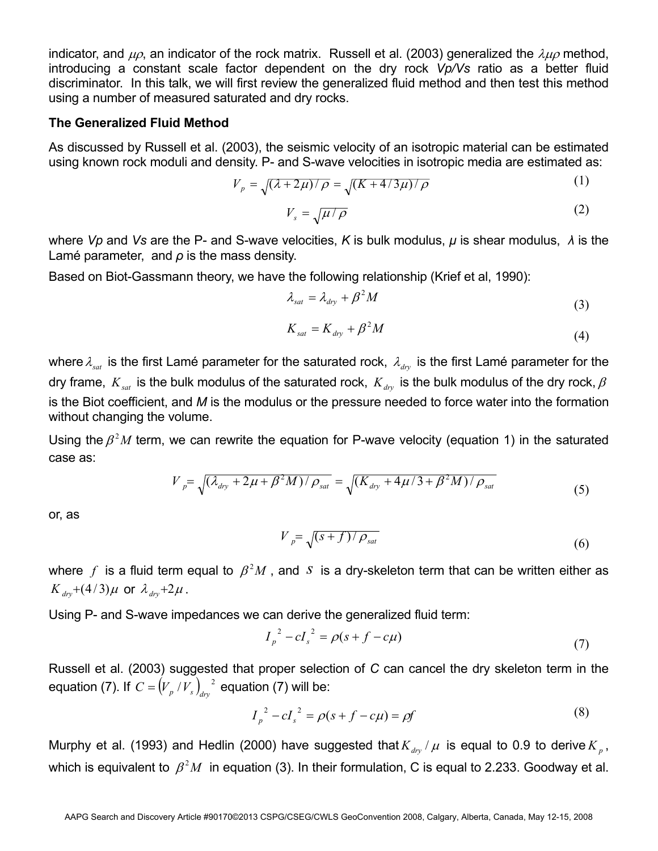indicator, and  $\mu$ <sub> $\alpha$ </sub>, an indicator of the rock matrix. Russell et al. (2003) generalized the  $\lambda\mu\rho$  method, introducing a constant scale factor dependent on the dry rock *Vp/Vs* ratio as a better fluid discriminator. In this talk, we will first review the generalized fluid method and then test this method using a number of measured saturated and dry rocks.

#### **The Generalized Fluid Method**

As discussed by Russell et al. (2003), the seismic velocity of an isotropic material can be estimated using known rock moduli and density. P- and S-wave velocities in isotropic media are estimated as:

$$
V_p = \sqrt{(\lambda + 2\mu)/\rho} = \sqrt{(K + 4/3\mu)/\rho}
$$
 (1)

$$
V_s = \sqrt{\mu / \rho} \tag{2}
$$

where *Vp* and *Vs* are the P- and S-wave velocities, *K* is bulk modulus, *μ* is shear modulus, *λ* is the Lamé parameter, and *ρ* is the mass density.

Based on Biot-Gassmann theory, we have the following relationship (Krief et al, 1990):

$$
\lambda_{sat} = \lambda_{dry} + \beta^2 M \tag{3}
$$

$$
K_{sat} = K_{dry} + \beta^2 M \tag{4}
$$

where  $\lambda_{sat}$  is the first Lamé parameter for the saturated rock,  $\lambda_{div}$  is the first Lamé parameter for the dry frame,  $K_{sat}$  is the bulk modulus of the saturated rock,  $K_{\mu\nu}$  is the bulk modulus of the dry rock,  $\beta$ is the Biot coefficient, and *M* is the modulus or the pressure needed to force water into the formation without changing the volume.

Using the  $\beta^2 M$  term, we can rewrite the equation for P-wave velocity (equation 1) in the saturated case as:

$$
V_{p} = \sqrt{(\lambda_{\text{dry}} + 2\mu + \beta^2 M)/\rho_{\text{sat}}} = \sqrt{(K_{\text{dry}} + 4\mu/3 + \beta^2 M)/\rho_{\text{sat}}}
$$
(5)

or, as

$$
V_{p} = \sqrt{(s+f)/\rho_{sat}}
$$
 (6)

where  $f$  is a fluid term equal to  $\beta^2 M$ , and *S* is a dry-skeleton term that can be written either as  $K_{\text{drv}} + (4/3)\mu$  or  $\lambda_{\text{drv}} + 2\mu$ .

Using P- and S-wave impedances we can derive the generalized fluid term:

$$
I_p^2 - cI_s^2 = \rho(s + f - c\mu)
$$
 (7)

Russell et al. (2003) suggested that proper selection of *C* can cancel the dry skeleton term in the equation (7). If  $C = (V_p / V_s)_{dyn}^2$  equation (7) will be:

$$
I_p^2 - cI_s^2 = \rho(s + f - c\mu) = \rho f \tag{8}
$$

Murphy et al. (1993) and Hedlin (2000) have suggested that  $K_{\mu\nu}/\mu$  is equal to 0.9 to derive  $K_{\mu}$ , which is equivalent to  $\beta^2 M$  in equation (3). In their formulation, C is equal to 2.233. Goodway et al.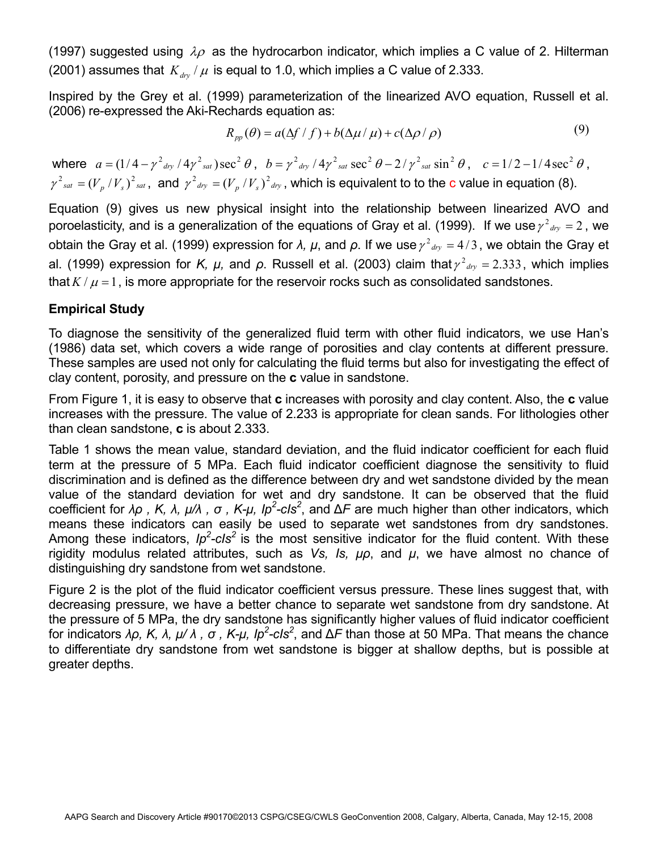(1997) suggested using  $\lambda \rho$  as the hydrocarbon indicator, which implies a C value of 2. Hilterman (2001) assumes that  $K_{\text{dry}}/\mu$  is equal to 1.0, which implies a C value of 2.333.

Inspired by the Grey et al. (1999) parameterization of the linearized AVO equation, Russell et al. (2006) re-expressed the Aki-Rechards equation as:

$$
R_{pp}(\theta) = a(\Delta f / f) + b(\Delta \mu / \mu) + c(\Delta \rho / \rho)
$$
\n(9)

where  $a = (1/4 - \gamma^2_{\text{dry}}/4\gamma^2_{\text{sat}})\sec^2 \theta$ ,  $b = \gamma^2_{\text{dry}}/4\gamma^2_{\text{sat}}\sec^2 \theta - 2/\gamma^2_{\text{sat}}\sin^2 \theta$ ,  $c = 1/2 - 1/4\sec^2 \theta$ ,  $\gamma^2_{sat} = (V_{n}/V_{n})^2_{sat}$ , and  $\gamma^2_{-dry} = (V_{n}/V_{n})^2_{-dry}$ , which is equivalent to to the c value in equation (8).

Equation (9) gives us new physical insight into the relationship between linearized AVO and poroelasticity, and is a generalization of the equations of Gray et al. (1999). If we use  $\gamma^2_{\text{div}} = 2$ , we obtain the Gray et al. (1999) expression for *λ*, *μ*, and *ρ*. If we use  $\gamma^2_{\text{div}} = 4/3$ , we obtain the Gray et al. (1999) expression for *K, µ,* and  $\rho$ . Russell et al. (2003) claim that  $\gamma^2_{\text{div}} = 2.333$ , which implies that  $K/\mu = 1$ , is more appropriate for the reservoir rocks such as consolidated sandstones.

## **Empirical Study**

To diagnose the sensitivity of the generalized fluid term with other fluid indicators, we use Han's (1986) data set, which covers a wide range of porosities and clay contents at different pressure. These samples are used not only for calculating the fluid terms but also for investigating the effect of clay content, porosity, and pressure on the **c** value in sandstone.

From Figure 1, it is easy to observe that **c** increases with porosity and clay content. Also, the **c** value increases with the pressure. The value of 2.233 is appropriate for clean sands. For lithologies other than clean sandstone, **c** is about 2.333.

Table 1 shows the mean value, standard deviation, and the fluid indicator coefficient for each fluid term at the pressure of 5 MPa. Each fluid indicator coefficient diagnose the sensitivity to fluid discrimination and is defined as the difference between dry and wet sandstone divided by the mean value of the standard deviation for wet and dry sandstone. It can be observed that the fluid coefficient for *λρ , K, λ, μ/λ , σ , K-μ, Ip2 -cIs2* , and Δ*F* are much higher than other indicators, which means these indicators can easily be used to separate wet sandstones from dry sandstones. Among these indicators, *Ip<sup>2</sup>-cIs<sup>2</sup>* is the most sensitive indicator for the fluid content. With these rigidity modulus related attributes, such as *Vs, Is, μρ*, and *μ*, we have almost no chance of distinguishing dry sandstone from wet sandstone.

Figure 2 is the plot of the fluid indicator coefficient versus pressure. These lines suggest that, with decreasing pressure, we have a better chance to separate wet sandstone from dry sandstone. At the pressure of 5 MPa, the dry sandstone has significantly higher values of fluid indicator coefficient for indicators *λρ, K, λ, μ/ λ , σ , K-μ, Ip2 -cIs2* , and Δ*F* than those at 50 MPa. That means the chance to differentiate dry sandstone from wet sandstone is bigger at shallow depths, but is possible at greater depths.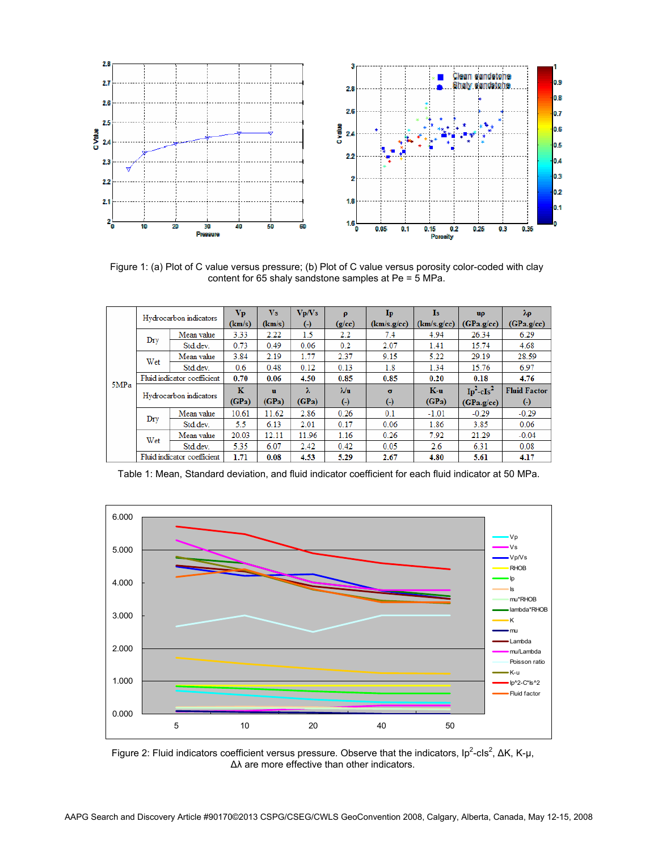

Figure 1: (a) Plot of C value versus pressure; (b) Plot of C value versus porosity color-coded with clay content for 65 shaly sandstone samples at Pe = 5 MPa.

|      | Hydrocarbon indicators      |            | Vp<br>(km/s) | V <sub>s</sub><br>(km/s) | Vp/Vs        | $\boldsymbol{\rho}$<br>(g/cc) | $\mathbf{I}_{\mathbf{p}}$<br>(km/s.g/cc) | <b>Is</b><br>(km/s.g/cc) | uρ<br>(GPa.g/cc) | $\lambda \rho$<br>(GPa.g/cc) |
|------|-----------------------------|------------|--------------|--------------------------|--------------|-------------------------------|------------------------------------------|--------------------------|------------------|------------------------------|
| 5MPa |                             |            |              |                          | $(\text{-})$ |                               |                                          |                          |                  |                              |
|      | Dry                         | Mean value | 3.33         | 2.22                     | 1.5          | 2.2                           | 7.4                                      | 4.94                     | 26.34            | 6.29                         |
|      |                             | Std.dev.   | 0.73         | 0.49                     | 0.06         | 0.2                           | 2.07                                     | 1.41                     | 15.74            | 4.68                         |
|      | Wet                         | Mean value | 3.84         | 2.19                     | 1.77         | 2.37                          | 9.15                                     | 5.22                     | 29.19            | 28.59                        |
|      |                             | Std dev    | 0.6          | 0.48                     | 0.12         | 0.13                          | 1.8                                      | 1.34                     | 15.76            | 6.97                         |
|      | Fluid indicator coefficient |            | 0.70         | 0.06                     | 4.50         | 0.85                          | 0.85                                     | 0.20                     | 0.18             | 4.76                         |
|      | Hydrocarbon indicators      |            | K            | $\mathbf{u}$             | λ            | $\lambda$ /u                  | $\sigma$                                 | $K-u$                    | $Ip^2-cIs^2$     | <b>Fluid Factor</b>          |
|      |                             |            | (GPa)        | (GPa)                    | (GPa)        | $\left( -\right)$             | $\left( \cdot \right)$                   | (GPa)                    | (GPa.g/cc)       | $\left( -\right)$            |
|      | Dry                         | Mean value | 10.61        | 11.62                    | 2.86         | 0.26                          | 0.1                                      | $-1.01$                  | $-0.29$          | $-0.29$                      |
|      |                             | Std.dev.   | 5.5          | 6.13                     | 2.01         | 0.17                          | 0.06                                     | 1.86                     | 3.85             | 0.06                         |
|      | Wet                         | Mean value | 20.03        | 12.11                    | 11.96        | 1.16                          | 0.26                                     | 7.92                     | 21.29            | $-0.04$                      |
|      |                             | Std.dev.   | 5.35         | 6.07                     | 2.42         | 0.42                          | 0.05                                     | 2.6                      | 6.31             | 0.08                         |
|      | Fluid indicator coefficient |            | 1.71         | 0.08                     | 4.53         | 5.29                          | 2.67                                     | 4.80                     | 5.61             | 4.17                         |

Table 1: Mean, Standard deviation, and fluid indicator coefficient for each fluid indicator at 50 MPa.



Figure 2: Fluid indicators coefficient versus pressure. Observe that the indicators,  $lp^2$ -cls<sup>2</sup>, ΔK, K-μ, Δλ are more effective than other indicators.